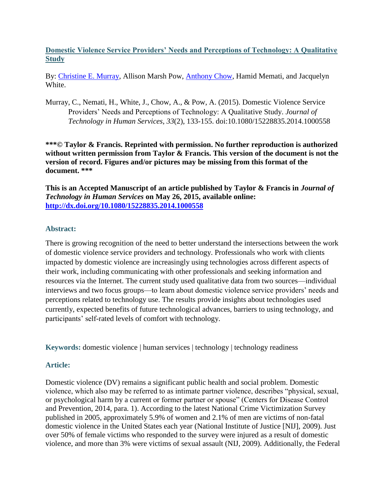**Domestic Violence Service Providers' Needs and Perceptions of Technology: A Qualitative Study**

By: Christine [E. Murray,](https://libres.uncg.edu/ir/uncg/clist.aspx?id=894) Allison Marsh Pow, [Anthony Chow,](https://libres.uncg.edu/ir/uncg/clist.aspx?id=904) Hamid Memati, and Jacquelyn White.

Murray, C., Nemati, H., White, J., Chow, A., & Pow, A. (2015). Domestic Violence Service Providers' Needs and Perceptions of Technology: A Qualitative Study. *Journal of Technology in Human Services*, *33*(2), 133-155. doi:10.1080/15228835.2014.1000558

**\*\*\*© Taylor & Francis. Reprinted with permission. No further reproduction is authorized without written permission from Taylor & Francis. This version of the document is not the version of record. Figures and/or pictures may be missing from this format of the document. \*\*\***

**This is an Accepted Manuscript of an article published by Taylor & Francis in** *Journal of Technology in Human Services* **on May 26, 2015, available online: <http://dx.doi.org/10.1080/15228835.2014.1000558>**

## **Abstract:**

There is growing recognition of the need to better understand the intersections between the work of domestic violence service providers and technology. Professionals who work with clients impacted by domestic violence are increasingly using technologies across different aspects of their work, including communicating with other professionals and seeking information and resources via the Internet. The current study used qualitative data from two sources—individual interviews and two focus groups—to learn about domestic violence service providers' needs and perceptions related to technology use. The results provide insights about technologies used currently, expected benefits of future technological advances, barriers to using technology, and participants' self-rated levels of comfort with technology.

**Keywords:** domestic violence | human services | technology | technology readiness

## **Article:**

Domestic violence (DV) remains a significant public health and social problem. Domestic violence, which also may be referred to as intimate partner violence, describes "physical, sexual, or psychological harm by a current or former partner or spouse" (Centers for Disease Control and Prevention, 2014, para. 1). According to the latest National Crime Victimization Survey published in 2005, approximately 5.9% of women and 2.1% of men are victims of non-fatal domestic violence in the United States each year (National Institute of Justice [NIJ], 2009). Just over 50% of female victims who responded to the survey were injured as a result of domestic violence, and more than 3% were victims of sexual assault (NIJ, 2009). Additionally, the Federal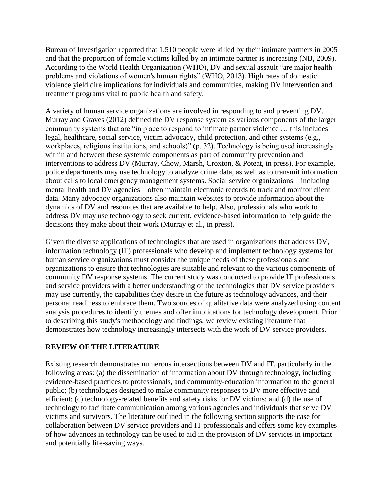Bureau of Investigation reported that 1,510 people were killed by their intimate partners in 2005 and that the proportion of female victims killed by an intimate partner is increasing (NIJ, 2009). According to the World Health Organization (WHO), DV and sexual assault "are major health problems and violations of women's human rights" (WHO, 2013). High rates of domestic violence yield dire implications for individuals and communities, making DV intervention and treatment programs vital to public health and safety.

A variety of human service organizations are involved in responding to and preventing DV. Murray and Graves (2012) defined the DV response system as various components of the larger community systems that are "in place to respond to intimate partner violence … this includes legal, healthcare, social service, victim advocacy, child protection, and other systems (e.g., workplaces, religious institutions, and schools)" (p. 32). Technology is being used increasingly within and between these systemic components as part of community prevention and interventions to address DV (Murray, Chow, Marsh, Croxton, & Poteat, in press). For example, police departments may use technology to analyze crime data, as well as to transmit information about calls to local emergency management systems. Social service organizations—including mental health and DV agencies—often maintain electronic records to track and monitor client data. Many advocacy organizations also maintain websites to provide information about the dynamics of DV and resources that are available to help. Also, professionals who work to address DV may use technology to seek current, evidence-based information to help guide the decisions they make about their work (Murray et al., in press).

Given the diverse applications of technologies that are used in organizations that address DV, information technology (IT) professionals who develop and implement technology systems for human service organizations must consider the unique needs of these professionals and organizations to ensure that technologies are suitable and relevant to the various components of community DV response systems. The current study was conducted to provide IT professionals and service providers with a better understanding of the technologies that DV service providers may use currently, the capabilities they desire in the future as technology advances, and their personal readiness to embrace them. Two sources of qualitative data were analyzed using content analysis procedures to identify themes and offer implications for technology development. Prior to describing this study's methodology and findings, we review existing literature that demonstrates how technology increasingly intersects with the work of DV service providers.

## **REVIEW OF THE LITERATURE**

Existing research demonstrates numerous intersections between DV and IT, particularly in the following areas: (a) the dissemination of information about DV through technology, including evidence-based practices to professionals, and community-education information to the general public; (b) technologies designed to make community responses to DV more effective and efficient; (c) technology-related benefits and safety risks for DV victims; and (d) the use of technology to facilitate communication among various agencies and individuals that serve DV victims and survivors. The literature outlined in the following section supports the case for collaboration between DV service providers and IT professionals and offers some key examples of how advances in technology can be used to aid in the provision of DV services in important and potentially life-saving ways.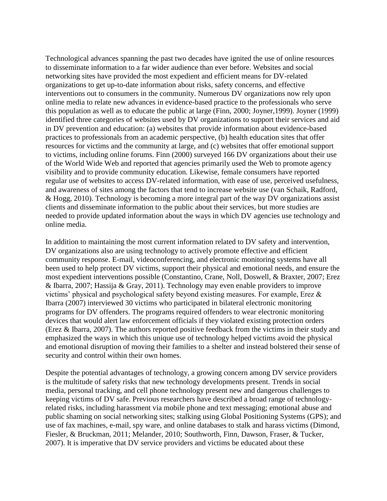Technological advances spanning the past two decades have ignited the use of online resources to disseminate information to a far wider audience than ever before. Websites and social networking sites have provided the most expedient and efficient means for DV-related organizations to get up-to-date information about risks, safety concerns, and effective interventions out to consumers in the community. Numerous DV organizations now rely upon online media to relate new advances in evidence-based practice to the professionals who serve this population as well as to educate the public at large (Finn, 2000; Joyner,1999). Joyner (1999) identified three categories of websites used by DV organizations to support their services and aid in DV prevention and education: (a) websites that provide information about evidence-based practices to professionals from an academic perspective, (b) health education sites that offer resources for victims and the community at large, and (c) websites that offer emotional support to victims, including online forums. Finn (2000) surveyed 166 DV organizations about their use of the World Wide Web and reported that agencies primarily used the Web to promote agency visibility and to provide community education. Likewise, female consumers have reported regular use of websites to access DV-related information, with ease of use, perceived usefulness, and awareness of sites among the factors that tend to increase website use (van Schaik, Radford, & Hogg, 2010). Technology is becoming a more integral part of the way DV organizations assist clients and disseminate information to the public about their services, but more studies are needed to provide updated information about the ways in which DV agencies use technology and online media.

In addition to maintaining the most current information related to DV safety and intervention, DV organizations also are using technology to actively promote effective and efficient community response. E-mail, videoconferencing, and electronic monitoring systems have all been used to help protect DV victims, support their physical and emotional needs, and ensure the most expedient interventions possible (Constantino, Crane, Noll, Doswell, & Braxter, 2007; Erez & Ibarra, 2007; Hassija & Gray, 2011). Technology may even enable providers to improve victims' physical and psychological safety beyond existing measures. For example, Erez & Ibarra (2007) interviewed 30 victims who participated in bilateral electronic monitoring programs for DV offenders. The programs required offenders to wear electronic monitoring devices that would alert law enforcement officials if they violated existing protection orders (Erez & Ibarra, 2007). The authors reported positive feedback from the victims in their study and emphasized the ways in which this unique use of technology helped victims avoid the physical and emotional disruption of moving their families to a shelter and instead bolstered their sense of security and control within their own homes.

Despite the potential advantages of technology, a growing concern among DV service providers is the multitude of safety risks that new technology developments present. Trends in social media, personal tracking, and cell phone technology present new and dangerous challenges to keeping victims of DV safe. Previous researchers have described a broad range of technologyrelated risks, including harassment via mobile phone and text messaging; emotional abuse and public shaming on social networking sites; stalking using Global Positioning Systems (GPS); and use of fax machines, e-mail, spy ware, and online databases to stalk and harass victims (Dimond, Fiesler, & Bruckman, 2011; Melander, 2010; Southworth, Finn, Dawson, Fraser, & Tucker, 2007). It is imperative that DV service providers and victims be educated about these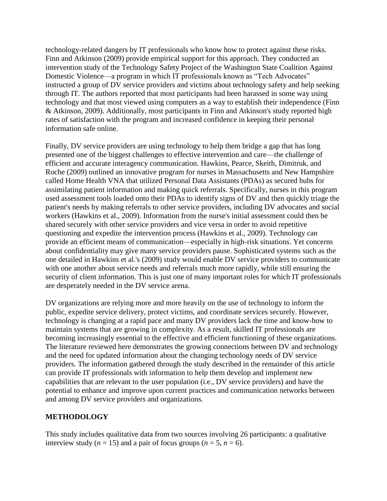technology-related dangers by IT professionals who know how to protect against these risks. Finn and Atkinson (2009) provide empirical support for this approach. They conducted an intervention study of the Technology Safety Project of the Washington State Coalition Against Domestic Violence—a program in which IT professionals known as "Tech Advocates" instructed a group of DV service providers and victims about technology safety and help seeking through IT. The authors reported that most participants had been harassed in some way using technology and that most viewed using computers as a way to establish their independence (Finn & Atkinson, 2009). Additionally, most participants in Finn and Atkinson's study reported high rates of satisfaction with the program and increased confidence in keeping their personal information safe online.

Finally, DV service providers are using technology to help them bridge a gap that has long presented one of the biggest challenges to effective intervention and care—the challenge of efficient and accurate interagency communication. Hawkins, Pearce, Skeith, Dimitruk, and Roche (2009) outlined an innovative program for nurses in Massachusetts and New Hampshire called Home Health VNA that utilized Personal Data Assistants (PDAs) as secured hubs for assimilating patient information and making quick referrals. Specifically, nurses in this program used assessment tools loaded onto their PDAs to identify signs of DV and then quickly triage the patient's needs by making referrals to other service providers, including DV advocates and social workers (Hawkins et al., 2009). Information from the nurse's initial assessment could then be shared securely with other service providers and vice versa in order to avoid repetitive questioning and expedite the intervention process (Hawkins et al., 2009). Technology can provide an efficient means of communication—especially in high-risk situations. Yet concerns about confidentiality may give many service providers pause. Sophisticated systems such as the one detailed in Hawkins et al.'s (2009) study would enable DV service providers to communicate with one another about service needs and referrals much more rapidly, while still ensuring the security of client information. This is just one of many important roles for which IT professionals are desperately needed in the DV service arena.

DV organizations are relying more and more heavily on the use of technology to inform the public, expedite service delivery, protect victims, and coordinate services securely. However, technology is changing at a rapid pace and many DV providers lack the time and know-how to maintain systems that are growing in complexity. As a result, skilled IT professionals are becoming increasingly essential to the effective and efficient functioning of these organizations. The literature reviewed here demonstrates the growing connections between DV and technology and the need for updated information about the changing technology needs of DV service providers. The information gathered through the study described in the remainder of this article can provide IT professionals with information to help them develop and implement new capabilities that are relevant to the user population (i.e., DV service providers) and have the potential to enhance and improve upon current practices and communication networks between and among DV service providers and organizations.

## **METHODOLOGY**

This study includes qualitative data from two sources involving 26 participants: a qualitative interview study ( $n = 15$ ) and a pair of focus groups ( $n = 5$ ,  $n = 6$ ).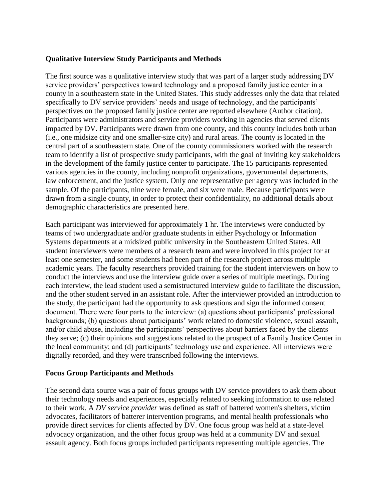### **Qualitative Interview Study Participants and Methods**

The first source was a qualitative interview study that was part of a larger study addressing DV service providers' perspectives toward technology and a proposed family justice center in a county in a southeastern state in the United States. This study addresses only the data that related specifically to DV service providers' needs and usage of technology, and the participants' perspectives on the proposed family justice center are reported elsewhere (Author citation). Participants were administrators and service providers working in agencies that served clients impacted by DV. Participants were drawn from one county, and this county includes both urban (i.e., one midsize city and one smaller-size city) and rural areas. The county is located in the central part of a southeastern state. One of the county commissioners worked with the research team to identify a list of prospective study participants, with the goal of inviting key stakeholders in the development of the family justice center to participate. The 15 participants represented various agencies in the county, including nonprofit organizations, governmental departments, law enforcement, and the justice system. Only one representative per agency was included in the sample. Of the participants, nine were female, and six were male. Because participants were drawn from a single county, in order to protect their confidentiality, no additional details about demographic characteristics are presented here.

Each participant was interviewed for approximately 1 hr. The interviews were conducted by teams of two undergraduate and/or graduate students in either Psychology or Information Systems departments at a midsized public university in the Southeastern United States. All student interviewers were members of a research team and were involved in this project for at least one semester, and some students had been part of the research project across multiple academic years. The faculty researchers provided training for the student interviewers on how to conduct the interviews and use the interview guide over a series of multiple meetings. During each interview, the lead student used a semistructured interview guide to facilitate the discussion, and the other student served in an assistant role. After the interviewer provided an introduction to the study, the participant had the opportunity to ask questions and sign the informed consent document. There were four parts to the interview: (a) questions about participants' professional backgrounds; (b) questions about participants' work related to domestic violence, sexual assault, and/or child abuse, including the participants' perspectives about barriers faced by the clients they serve; (c) their opinions and suggestions related to the prospect of a Family Justice Center in the local community; and (d) participants' technology use and experience. All interviews were digitally recorded, and they were transcribed following the interviews.

### **Focus Group Participants and Methods**

The second data source was a pair of focus groups with DV service providers to ask them about their technology needs and experiences, especially related to seeking information to use related to their work. A *DV service provider* was defined as staff of battered women's shelters, victim advocates, facilitators of batterer intervention programs, and mental health professionals who provide direct services for clients affected by DV. One focus group was held at a state-level advocacy organization, and the other focus group was held at a community DV and sexual assault agency. Both focus groups included participants representing multiple agencies. The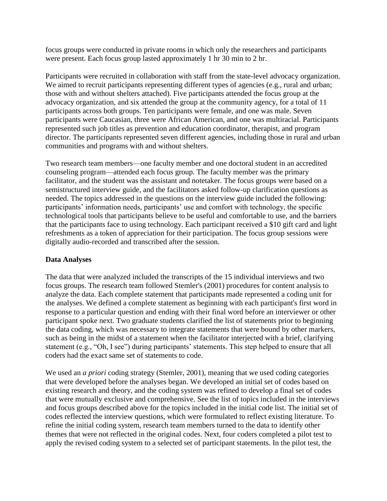focus groups were conducted in private rooms in which only the researchers and participants were present. Each focus group lasted approximately 1 hr 30 min to 2 hr.

Participants were recruited in collaboration with staff from the state-level advocacy organization. We aimed to recruit participants representing different types of agencies (e.g., rural and urban; those with and without shelters attached). Five participants attended the focus group at the advocacy organization, and six attended the group at the community agency, for a total of 11 participants across both groups. Ten participants were female, and one was male. Seven participants were Caucasian, three were African American, and one was multiracial. Participants represented such job titles as prevention and education coordinator, therapist, and program director. The participants represented seven different agencies, including those in rural and urban communities and programs with and without shelters.

Two research team members—one faculty member and one doctoral student in an accredited counseling program—attended each focus group. The faculty member was the primary facilitator, and the student was the assistant and notetaker. The focus groups were based on a semistructured interview guide, and the facilitators asked follow-up clarification questions as needed. The topics addressed in the questions on the interview guide included the following: participants' information needs, participants' use and comfort with technology, the specific technological tools that participants believe to be useful and comfortable to use, and the barriers that the participants face to using technology. Each participant received a \$10 gift card and light refreshments as a token of appreciation for their participation. The focus group sessions were digitally audio-recorded and transcribed after the session.

### **Data Analyses**

The data that were analyzed included the transcripts of the 15 individual interviews and two focus groups. The research team followed Stemler's (2001) procedures for content analysis to analyze the data. Each complete statement that participants made represented a coding unit for the analyses. We defined a complete statement as beginning with each participant's first word in response to a particular question and ending with their final word before an interviewer or other participant spoke next. Two graduate students clarified the list of statements prior to beginning the data coding, which was necessary to integrate statements that were bound by other markers, such as being in the midst of a statement when the facilitator interjected with a brief, clarifying statement (e.g., "Oh, I see") during participants' statements. This step helped to ensure that all coders had the exact same set of statements to code.

We used an *a priori* coding strategy (Stemler, 2001), meaning that we used coding categories that were developed before the analyses began. We developed an initial set of codes based on existing research and theory, and the coding system was refined to develop a final set of codes that were mutually exclusive and comprehensive. See the list of topics included in the interviews and focus groups described above for the topics included in the initial code list. The initial set of codes reflected the interview questions, which were formulated to reflect existing literature. To refine the initial coding system, research team members turned to the data to identify other themes that were not reflected in the original codes. Next, four coders completed a pilot test to apply the revised coding system to a selected set of participant statements. In the pilot test, the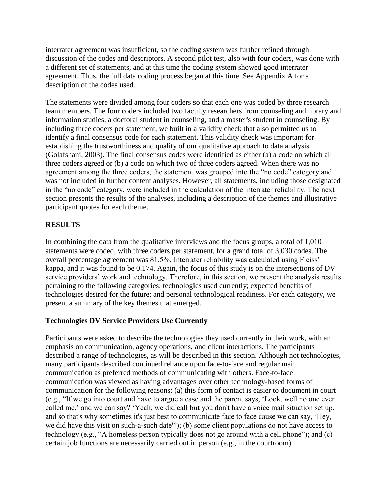interrater agreement was insufficient, so the coding system was further refined through discussion of the codes and descriptors. A second pilot test, also with four coders, was done with a different set of statements, and at this time the coding system showed good interrater agreement. Thus, the full data coding process began at this time. See Appendix A for a description of the codes used.

The statements were divided among four coders so that each one was coded by three research team members. The four coders included two faculty researchers from counseling and library and information studies, a doctoral student in counseling, and a master's student in counseling. By including three coders per statement, we built in a validity check that also permitted us to identify a final consensus code for each statement. This validity check was important for establishing the trustworthiness and quality of our qualitative approach to data analysis (Golafshani, 2003). The final consensus codes were identified as either (a) a code on which all three coders agreed or (b) a code on which two of three coders agreed. When there was no agreement among the three coders, the statement was grouped into the "no code" category and was not included in further content analyses. However, all statements, including those designated in the "no code" category, were included in the calculation of the interrater reliability. The next section presents the results of the analyses, including a description of the themes and illustrative participant quotes for each theme.

# **RESULTS**

In combining the data from the qualitative interviews and the focus groups, a total of 1,010 statements were coded, with three coders per statement, for a grand total of 3,030 codes. The overall percentage agreement was 81.5%. Interrater reliability was calculated using Fleiss' kappa, and it was found to be 0.174. Again, the focus of this study is on the intersections of DV service providers' work and technology. Therefore, in this section, we present the analysis results pertaining to the following categories: technologies used currently; expected benefits of technologies desired for the future; and personal technological readiness. For each category, we present a summary of the key themes that emerged.

## **Technologies DV Service Providers Use Currently**

Participants were asked to describe the technologies they used currently in their work, with an emphasis on communication, agency operations, and client interactions. The participants described a range of technologies, as will be described in this section. Although not technologies, many participants described continued reliance upon face-to-face and regular mail communication as preferred methods of communicating with others. Face-to-face communication was viewed as having advantages over other technology-based forms of communication for the following reasons: (a) this form of contact is easier to document in court (e.g., "If we go into court and have to argue a case and the parent says, 'Look, well no one ever called me,' and we can say? 'Yeah, we did call but you don't have a voice mail situation set up, and so that's why sometimes it's just best to communicate face to face cause we can say, 'Hey, we did have this visit on such-a-such date'"); (b) some client populations do not have access to technology (e.g., "A homeless person typically does not go around with a cell phone"); and (c) certain job functions are necessarily carried out in person (e.g., in the courtroom).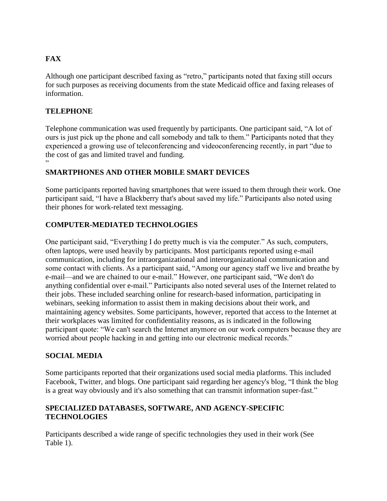# **FAX**

Although one participant described faxing as "retro," participants noted that faxing still occurs for such purposes as receiving documents from the state Medicaid office and faxing releases of information.

## **TELEPHONE**

Telephone communication was used frequently by participants. One participant said, "A lot of ours is just pick up the phone and call somebody and talk to them." Participants noted that they experienced a growing use of teleconferencing and videoconferencing recently, in part "due to the cost of gas and limited travel and funding. "

## **SMARTPHONES AND OTHER MOBILE SMART DEVICES**

Some participants reported having smartphones that were issued to them through their work. One participant said, "I have a Blackberry that's about saved my life." Participants also noted using their phones for work-related text messaging.

## **COMPUTER-MEDIATED TECHNOLOGIES**

One participant said, "Everything I do pretty much is via the computer." As such, computers, often laptops, were used heavily by participants. Most participants reported using e-mail communication, including for intraorganizational and interorganizational communication and some contact with clients. As a participant said, "Among our agency staff we live and breathe by e-mail—and we are chained to our e-mail." However, one participant said, "We don't do anything confidential over e-mail." Participants also noted several uses of the Internet related to their jobs. These included searching online for research-based information, participating in webinars, seeking information to assist them in making decisions about their work, and maintaining agency websites. Some participants, however, reported that access to the Internet at their workplaces was limited for confidentiality reasons, as is indicated in the following participant quote: "We can't search the Internet anymore on our work computers because they are worried about people hacking in and getting into our electronic medical records."

## **SOCIAL MEDIA**

Some participants reported that their organizations used social media platforms. This included Facebook, Twitter, and blogs. One participant said regarding her agency's blog, "I think the blog is a great way obviously and it's also something that can transmit information super-fast."

## **SPECIALIZED DATABASES, SOFTWARE, AND AGENCY-SPECIFIC TECHNOLOGIES**

Participants described a wide range of specific technologies they used in their work (See Table 1).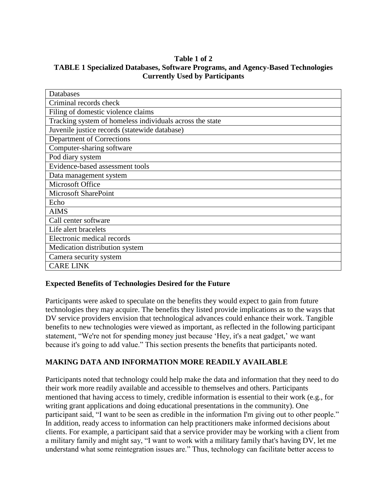### **Table 1 of 2 TABLE 1 Specialized Databases, Software Programs, and Agency-Based Technologies Currently Used by Participants**

| Databases                                                |
|----------------------------------------------------------|
| Criminal records check                                   |
| Filing of domestic violence claims                       |
| Tracking system of homeless individuals across the state |
| Juvenile justice records (statewide database)            |
| Department of Corrections                                |
| Computer-sharing software                                |
| Pod diary system                                         |
| Evidence-based assessment tools                          |
| Data management system                                   |
| Microsoft Office                                         |
| <b>Microsoft SharePoint</b>                              |
| Echo                                                     |
| <b>AIMS</b>                                              |
| Call center software                                     |
| Life alert bracelets                                     |
| Electronic medical records                               |
| Medication distribution system                           |
| Camera security system                                   |
| <b>CARE LINK</b>                                         |

# **Expected Benefits of Technologies Desired for the Future**

Participants were asked to speculate on the benefits they would expect to gain from future technologies they may acquire. The benefits they listed provide implications as to the ways that DV service providers envision that technological advances could enhance their work. Tangible benefits to new technologies were viewed as important, as reflected in the following participant statement, "We're not for spending money just because 'Hey, it's a neat gadget,' we want because it's going to add value." This section presents the benefits that participants noted.

## **MAKING DATA AND INFORMATION MORE READILY AVAILABLE**

Participants noted that technology could help make the data and information that they need to do their work more readily available and accessible to themselves and others. Participants mentioned that having access to timely, credible information is essential to their work (e.g., for writing grant applications and doing educational presentations in the community). One participant said, "I want to be seen as credible in the information I'm giving out to other people." In addition, ready access to information can help practitioners make informed decisions about clients. For example, a participant said that a service provider may be working with a client from a military family and might say, "I want to work with a military family that's having DV, let me understand what some reintegration issues are." Thus, technology can facilitate better access to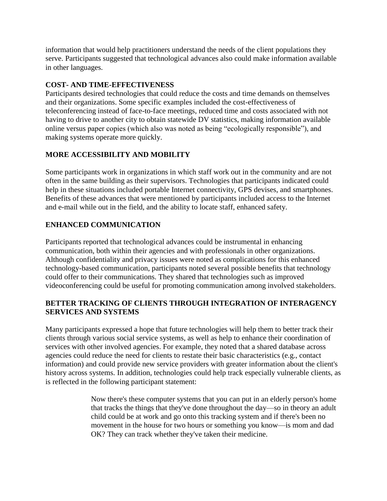information that would help practitioners understand the needs of the client populations they serve. Participants suggested that technological advances also could make information available in other languages.

## **COST- AND TIME-EFFECTIVENESS**

Participants desired technologies that could reduce the costs and time demands on themselves and their organizations. Some specific examples included the cost-effectiveness of teleconferencing instead of face-to-face meetings, reduced time and costs associated with not having to drive to another city to obtain statewide DV statistics, making information available online versus paper copies (which also was noted as being "ecologically responsible"), and making systems operate more quickly.

# **MORE ACCESSIBILITY AND MOBILITY**

Some participants work in organizations in which staff work out in the community and are not often in the same building as their supervisors. Technologies that participants indicated could help in these situations included portable Internet connectivity, GPS devises, and smartphones. Benefits of these advances that were mentioned by participants included access to the Internet and e-mail while out in the field, and the ability to locate staff, enhanced safety.

# **ENHANCED COMMUNICATION**

Participants reported that technological advances could be instrumental in enhancing communication, both within their agencies and with professionals in other organizations. Although confidentiality and privacy issues were noted as complications for this enhanced technology-based communication, participants noted several possible benefits that technology could offer to their communications. They shared that technologies such as improved videoconferencing could be useful for promoting communication among involved stakeholders.

# **BETTER TRACKING OF CLIENTS THROUGH INTEGRATION OF INTERAGENCY SERVICES AND SYSTEMS**

Many participants expressed a hope that future technologies will help them to better track their clients through various social service systems, as well as help to enhance their coordination of services with other involved agencies. For example, they noted that a shared database across agencies could reduce the need for clients to restate their basic characteristics (e.g., contact information) and could provide new service providers with greater information about the client's history across systems. In addition, technologies could help track especially vulnerable clients, as is reflected in the following participant statement:

> Now there's these computer systems that you can put in an elderly person's home that tracks the things that they've done throughout the day—so in theory an adult child could be at work and go onto this tracking system and if there's been no movement in the house for two hours or something you know—is mom and dad OK? They can track whether they've taken their medicine.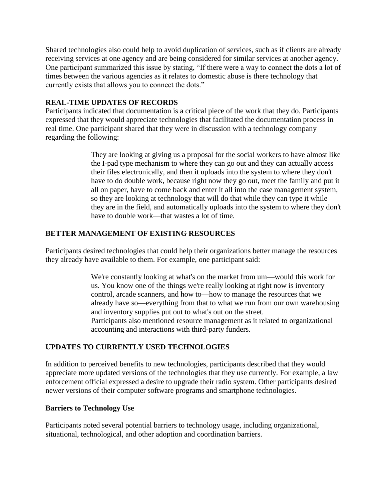Shared technologies also could help to avoid duplication of services, such as if clients are already receiving services at one agency and are being considered for similar services at another agency. One participant summarized this issue by stating, "If there were a way to connect the dots a lot of times between the various agencies as it relates to domestic abuse is there technology that currently exists that allows you to connect the dots."

### **REAL-TIME UPDATES OF RECORDS**

Participants indicated that documentation is a critical piece of the work that they do. Participants expressed that they would appreciate technologies that facilitated the documentation process in real time. One participant shared that they were in discussion with a technology company regarding the following:

> They are looking at giving us a proposal for the social workers to have almost like the I-pad type mechanism to where they can go out and they can actually access their files electronically, and then it uploads into the system to where they don't have to do double work, because right now they go out, meet the family and put it all on paper, have to come back and enter it all into the case management system, so they are looking at technology that will do that while they can type it while they are in the field, and automatically uploads into the system to where they don't have to double work—that wastes a lot of time.

## **BETTER MANAGEMENT OF EXISTING RESOURCES**

Participants desired technologies that could help their organizations better manage the resources they already have available to them. For example, one participant said:

> We're constantly looking at what's on the market from um—would this work for us. You know one of the things we're really looking at right now is inventory control, arcade scanners, and how to—how to manage the resources that we already have so—everything from that to what we run from our own warehousing and inventory supplies put out to what's out on the street. Participants also mentioned resource management as it related to organizational accounting and interactions with third-party funders.

## **UPDATES TO CURRENTLY USED TECHNOLOGIES**

In addition to perceived benefits to new technologies, participants described that they would appreciate more updated versions of the technologies that they use currently. For example, a law enforcement official expressed a desire to upgrade their radio system. Other participants desired newer versions of their computer software programs and smartphone technologies.

### **Barriers to Technology Use**

Participants noted several potential barriers to technology usage, including organizational, situational, technological, and other adoption and coordination barriers.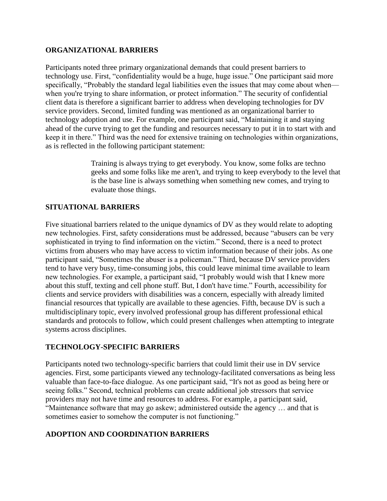### **ORGANIZATIONAL BARRIERS**

Participants noted three primary organizational demands that could present barriers to technology use. First, "confidentiality would be a huge, huge issue." One participant said more specifically, "Probably the standard legal liabilities even the issues that may come about when when you're trying to share information, or protect information." The security of confidential client data is therefore a significant barrier to address when developing technologies for DV service providers. Second, limited funding was mentioned as an organizational barrier to technology adoption and use. For example, one participant said, "Maintaining it and staying ahead of the curve trying to get the funding and resources necessary to put it in to start with and keep it in there." Third was the need for extensive training on technologies within organizations, as is reflected in the following participant statement:

> Training is always trying to get everybody. You know, some folks are techno geeks and some folks like me aren't, and trying to keep everybody to the level that is the base line is always something when something new comes, and trying to evaluate those things.

## **SITUATIONAL BARRIERS**

Five situational barriers related to the unique dynamics of DV as they would relate to adopting new technologies. First, safety considerations must be addressed, because "abusers can be very sophisticated in trying to find information on the victim." Second, there is a need to protect victims from abusers who may have access to victim information because of their jobs. As one participant said, "Sometimes the abuser is a policeman." Third, because DV service providers tend to have very busy, time-consuming jobs, this could leave minimal time available to learn new technologies. For example, a participant said, "I probably would wish that I knew more about this stuff, texting and cell phone stuff. But, I don't have time." Fourth, accessibility for clients and service providers with disabilities was a concern, especially with already limited financial resources that typically are available to these agencies. Fifth, because DV is such a multidisciplinary topic, every involved professional group has different professional ethical standards and protocols to follow, which could present challenges when attempting to integrate systems across disciplines.

## **TECHNOLOGY-SPECIFIC BARRIERS**

Participants noted two technology-specific barriers that could limit their use in DV service agencies. First, some participants viewed any technology-facilitated conversations as being less valuable than face-to-face dialogue. As one participant said, "It's not as good as being here or seeing folks." Second, technical problems can create additional job stressors that service providers may not have time and resources to address. For example, a participant said, "Maintenance software that may go askew; administered outside the agency … and that is sometimes easier to somehow the computer is not functioning."

## **ADOPTION AND COORDINATION BARRIERS**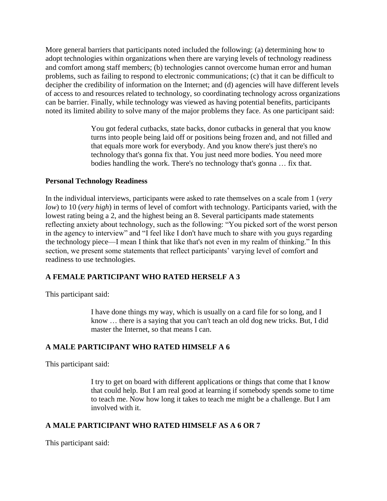More general barriers that participants noted included the following: (a) determining how to adopt technologies within organizations when there are varying levels of technology readiness and comfort among staff members; (b) technologies cannot overcome human error and human problems, such as failing to respond to electronic communications; (c) that it can be difficult to decipher the credibility of information on the Internet; and (d) agencies will have different levels of access to and resources related to technology, so coordinating technology across organizations can be barrier. Finally, while technology was viewed as having potential benefits, participants noted its limited ability to solve many of the major problems they face. As one participant said:

> You got federal cutbacks, state backs, donor cutbacks in general that you know turns into people being laid off or positions being frozen and, and not filled and that equals more work for everybody. And you know there's just there's no technology that's gonna fix that. You just need more bodies. You need more bodies handling the work. There's no technology that's gonna … fix that.

### **Personal Technology Readiness**

In the individual interviews, participants were asked to rate themselves on a scale from 1 (*very low*) to 10 (*very high*) in terms of level of comfort with technology. Participants varied, with the lowest rating being a 2, and the highest being an 8. Several participants made statements reflecting anxiety about technology, such as the following: "You picked sort of the worst person in the agency to interview" and "I feel like I don't have much to share with you guys regarding the technology piece—I mean I think that like that's not even in my realm of thinking." In this section, we present some statements that reflect participants' varying level of comfort and readiness to use technologies.

## **A FEMALE PARTICIPANT WHO RATED HERSELF A 3**

This participant said:

I have done things my way, which is usually on a card file for so long, and I know … there is a saying that you can't teach an old dog new tricks. But, I did master the Internet, so that means I can.

## **A MALE PARTICIPANT WHO RATED HIMSELF A 6**

This participant said:

I try to get on board with different applications or things that come that I know that could help. But I am real good at learning if somebody spends some to time to teach me. Now how long it takes to teach me might be a challenge. But I am involved with it.

## **A MALE PARTICIPANT WHO RATED HIMSELF AS A 6 OR 7**

This participant said: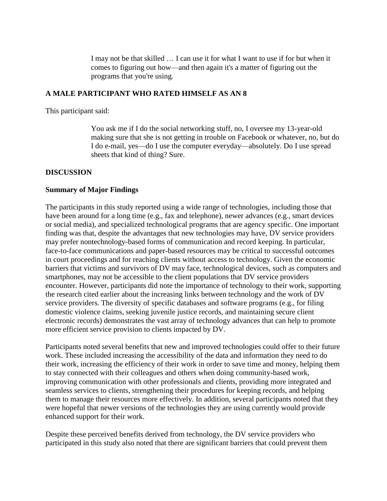I may not be that skilled … I can use it for what I want to use if for but when it comes to figuring out how—and then again it's a matter of figuring out the programs that you're using.

#### **A MALE PARTICIPANT WHO RATED HIMSELF AS AN 8**

This participant said:

You ask me if I do the social networking stuff, no, I oversee my 13-year-old making sure that she is not getting in trouble on Facebook or whatever, no, but do I do e-mail, yes—do I use the computer everyday—absolutely. Do I use spread sheets that kind of thing? Sure.

#### **DISCUSSION**

#### **Summary of Major Findings**

The participants in this study reported using a wide range of technologies, including those that have been around for a long time (e.g., fax and telephone), newer advances (e.g., smart devices or social media), and specialized technological programs that are agency specific. One important finding was that, despite the advantages that new technologies may have, DV service providers may prefer nontechnology-based forms of communication and record keeping. In particular, face-to-face communications and paper-based resources may be critical to successful outcomes in court proceedings and for reaching clients without access to technology. Given the economic barriers that victims and survivors of DV may face, technological devices, such as computers and smartphones, may not be accessible to the client populations that DV service providers encounter. However, participants did note the importance of technology to their work, supporting the research cited earlier about the increasing links between technology and the work of DV service providers. The diversity of specific databases and software programs (e.g., for filing domestic violence claims, seeking juvenile justice records, and maintaining secure client electronic records) demonstrates the vast array of technology advances that can help to promote more efficient service provision to clients impacted by DV.

Participants noted several benefits that new and improved technologies could offer to their future work. These included increasing the accessibility of the data and information they need to do their work, increasing the efficiency of their work in order to save time and money, helping them to stay connected with their colleagues and others when doing community-based work, improving communication with other professionals and clients, providing more integrated and seamless services to clients, strengthening their procedures for keeping records, and helping them to manage their resources more effectively. In addition, several participants noted that they were hopeful that newer versions of the technologies they are using currently would provide enhanced support for their work.

Despite these perceived benefits derived from technology, the DV service providers who participated in this study also noted that there are significant barriers that could prevent them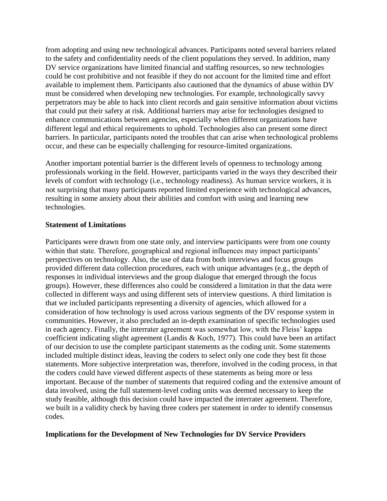from adopting and using new technological advances. Participants noted several barriers related to the safety and confidentiality needs of the client populations they served. In addition, many DV service organizations have limited financial and staffing resources, so new technologies could be cost prohibitive and not feasible if they do not account for the limited time and effort available to implement them. Participants also cautioned that the dynamics of abuse within DV must be considered when developing new technologies. For example, technologically savvy perpetrators may be able to hack into client records and gain sensitive information about victims that could put their safety at risk. Additional barriers may arise for technologies designed to enhance communications between agencies, especially when different organizations have different legal and ethical requirements to uphold. Technologies also can present some direct barriers. In particular, participants noted the troubles that can arise when technological problems occur, and these can be especially challenging for resource-limited organizations.

Another important potential barrier is the different levels of openness to technology among professionals working in the field. However, participants varied in the ways they described their levels of comfort with technology (i.e., technology readiness). As human service workers, it is not surprising that many participants reported limited experience with technological advances, resulting in some anxiety about their abilities and comfort with using and learning new technologies.

### **Statement of Limitations**

Participants were drawn from one state only, and interview participants were from one county within that state. Therefore, geographical and regional influences may impact participants' perspectives on technology. Also, the use of data from both interviews and focus groups provided different data collection procedures, each with unique advantages (e.g., the depth of responses in individual interviews and the group dialogue that emerged through the focus groups). However, these differences also could be considered a limitation in that the data were collected in different ways and using different sets of interview questions. A third limitation is that we included participants representing a diversity of agencies, which allowed for a consideration of how technology is used across various segments of the DV response system in communities. However, it also precluded an in-depth examination of specific technologies used in each agency. Finally, the interrater agreement was somewhat low, with the Fleiss' kappa coefficient indicating slight agreement (Landis & Koch, 1977). This could have been an artifact of our decision to use the complete participant statements as the coding unit. Some statements included multiple distinct ideas, leaving the coders to select only one code they best fit those statements. More subjective interpretation was, therefore, involved in the coding process, in that the coders could have viewed different aspects of these statements as being more or less important. Because of the number of statements that required coding and the extensive amount of data involved, using the full statement-level coding units was deemed necessary to keep the study feasible, although this decision could have impacted the interrater agreement. Therefore, we built in a validity check by having three coders per statement in order to identify consensus codes.

### **Implications for the Development of New Technologies for DV Service Providers**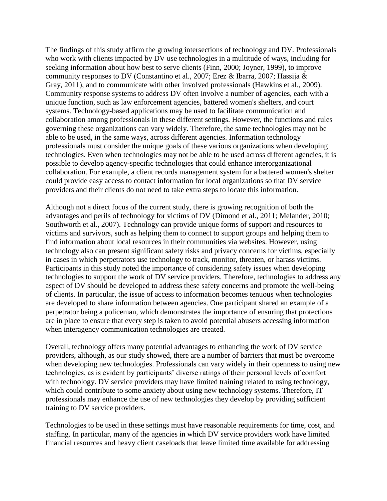The findings of this study affirm the growing intersections of technology and DV. Professionals who work with clients impacted by DV use technologies in a multitude of ways, including for seeking information about how best to serve clients (Finn, 2000; Joyner, 1999), to improve community responses to DV (Constantino et al., 2007; Erez & Ibarra, 2007; Hassija & Gray, 2011), and to communicate with other involved professionals (Hawkins et al., 2009). Community response systems to address DV often involve a number of agencies, each with a unique function, such as law enforcement agencies, battered women's shelters, and court systems. Technology-based applications may be used to facilitate communication and collaboration among professionals in these different settings. However, the functions and rules governing these organizations can vary widely. Therefore, the same technologies may not be able to be used, in the same ways, across different agencies. Information technology professionals must consider the unique goals of these various organizations when developing technologies. Even when technologies may not be able to be used across different agencies, it is possible to develop agency-specific technologies that could enhance interorganizational collaboration. For example, a client records management system for a battered women's shelter could provide easy access to contact information for local organizations so that DV service providers and their clients do not need to take extra steps to locate this information.

Although not a direct focus of the current study, there is growing recognition of both the advantages and perils of technology for victims of DV (Dimond et al., 2011; Melander, 2010; Southworth et al., 2007). Technology can provide unique forms of support and resources to victims and survivors, such as helping them to connect to support groups and helping them to find information about local resources in their communities via websites. However, using technology also can present significant safety risks and privacy concerns for victims, especially in cases in which perpetrators use technology to track, monitor, threaten, or harass victims. Participants in this study noted the importance of considering safety issues when developing technologies to support the work of DV service providers. Therefore, technologies to address any aspect of DV should be developed to address these safety concerns and promote the well-being of clients. In particular, the issue of access to information becomes tenuous when technologies are developed to share information between agencies. One participant shared an example of a perpetrator being a policeman, which demonstrates the importance of ensuring that protections are in place to ensure that every step is taken to avoid potential abusers accessing information when interagency communication technologies are created.

Overall, technology offers many potential advantages to enhancing the work of DV service providers, although, as our study showed, there are a number of barriers that must be overcome when developing new technologies. Professionals can vary widely in their openness to using new technologies, as is evident by participants' diverse ratings of their personal levels of comfort with technology. DV service providers may have limited training related to using technology, which could contribute to some anxiety about using new technology systems. Therefore, IT professionals may enhance the use of new technologies they develop by providing sufficient training to DV service providers.

Technologies to be used in these settings must have reasonable requirements for time, cost, and staffing. In particular, many of the agencies in which DV service providers work have limited financial resources and heavy client caseloads that leave limited time available for addressing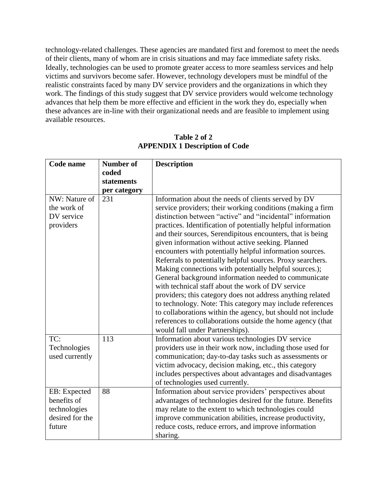technology-related challenges. These agencies are mandated first and foremost to meet the needs of their clients, many of whom are in crisis situations and may face immediate safety risks. Ideally, technologies can be used to promote greater access to more seamless services and help victims and survivors become safer. However, technology developers must be mindful of the realistic constraints faced by many DV service providers and the organizations in which they work. The findings of this study suggest that DV service providers would welcome technology advances that help them be more effective and efficient in the work they do, especially when these advances are in-line with their organizational needs and are feasible to implement using available resources.

| Code name<br><b>Number of</b><br><b>Description</b> |                                                                                                                 |
|-----------------------------------------------------|-----------------------------------------------------------------------------------------------------------------|
| coded                                               |                                                                                                                 |
| statements                                          |                                                                                                                 |
| per category                                        |                                                                                                                 |
| NW: Nature of<br>231                                | Information about the needs of clients served by DV                                                             |
| the work of                                         | service providers; their working conditions (making a firm                                                      |
| DV service                                          | distinction between "active" and "incidental" information                                                       |
| providers                                           | practices. Identification of potentially helpful information                                                    |
|                                                     | and their sources, Serendipitous encounters, that is being                                                      |
|                                                     | given information without active seeking. Planned                                                               |
|                                                     | encounters with potentially helpful information sources.                                                        |
|                                                     | Referrals to potentially helpful sources. Proxy searchers.                                                      |
|                                                     | Making connections with potentially helpful sources.);                                                          |
|                                                     | General background information needed to communicate                                                            |
|                                                     | with technical staff about the work of DV service                                                               |
|                                                     | providers; this category does not address anything related                                                      |
|                                                     | to technology. Note: This category may include references                                                       |
|                                                     | to collaborations within the agency, but should not include                                                     |
|                                                     | references to collaborations outside the home agency (that                                                      |
| TC:<br>113                                          | would fall under Partnerships).                                                                                 |
|                                                     | Information about various technologies DV service                                                               |
| Technologies<br>used currently                      | providers use in their work now, including those used for                                                       |
|                                                     | communication; day-to-day tasks such as assessments or<br>victim advocacy, decision making, etc., this category |
|                                                     | includes perspectives about advantages and disadvantages                                                        |
|                                                     | of technologies used currently.                                                                                 |
| EB: Expected<br>88                                  | Information about service providers' perspectives about                                                         |
| benefits of                                         | advantages of technologies desired for the future. Benefits                                                     |
| technologies                                        | may relate to the extent to which technologies could                                                            |
| desired for the                                     | improve communication abilities, increase productivity,                                                         |
| future                                              | reduce costs, reduce errors, and improve information                                                            |
| sharing.                                            |                                                                                                                 |

**Table 2 of 2 APPENDIX 1 Description of Code**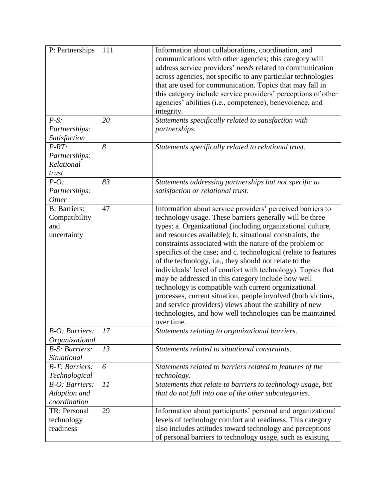| P: Partnerships                                             | 111 | Information about collaborations, coordination, and<br>communications with other agencies; this category will<br>address service providers' needs related to communication<br>across agencies, not specific to any particular technologies<br>that are used for communication. Topics that may fall in<br>this category include service providers' perceptions of other<br>agencies' abilities (i.e., competence), benevolence, and<br>integrity.                                                                                                                                                                                                                                                                                                                                                                              |
|-------------------------------------------------------------|-----|--------------------------------------------------------------------------------------------------------------------------------------------------------------------------------------------------------------------------------------------------------------------------------------------------------------------------------------------------------------------------------------------------------------------------------------------------------------------------------------------------------------------------------------------------------------------------------------------------------------------------------------------------------------------------------------------------------------------------------------------------------------------------------------------------------------------------------|
| $P-S$ :<br>Partnerships:<br>Satisfaction                    | 20  | Statements specifically related to satisfaction with<br>partnerships.                                                                                                                                                                                                                                                                                                                                                                                                                                                                                                                                                                                                                                                                                                                                                          |
| $P-RT:$<br>Partnerships:<br>Relational<br>trust             | 8   | Statements specifically related to relational trust.                                                                                                                                                                                                                                                                                                                                                                                                                                                                                                                                                                                                                                                                                                                                                                           |
| $P-O$ :<br>Partnerships:<br>Other                           | 83  | Statements addressing partnerships but not specific to<br>satisfaction or relational trust.                                                                                                                                                                                                                                                                                                                                                                                                                                                                                                                                                                                                                                                                                                                                    |
| <b>B</b> : Barriers:<br>Compatibility<br>and<br>uncertainty | 47  | Information about service providers' perceived barriers to<br>technology usage. These barriers generally will be three<br>types: a. Organizational (including organizational culture,<br>and resources available); b. situational constraints, the<br>constraints associated with the nature of the problem or<br>specifics of the case; and c. technological (relate to features<br>of the technology, i.e., they should not relate to the<br>individuals' level of comfort with technology). Topics that<br>may be addressed in this category include how well<br>technology is compatible with current organizational<br>processes, current situation, people involved (both victims,<br>and service providers) views about the stability of new<br>technologies, and how well technologies can be maintained<br>over time. |
| <b>B-O:</b> Barriers:<br>Organizational                     | 17  | Statements relating to organizational barriers.                                                                                                                                                                                                                                                                                                                                                                                                                                                                                                                                                                                                                                                                                                                                                                                |
| <b>B-S: Barriers:</b><br>Situational                        | 13  | Statements related to situational constraints.                                                                                                                                                                                                                                                                                                                                                                                                                                                                                                                                                                                                                                                                                                                                                                                 |
| <b>B-T: Barriers:</b><br>Technological                      | 6   | Statements related to barriers related to features of the<br>technology.                                                                                                                                                                                                                                                                                                                                                                                                                                                                                                                                                                                                                                                                                                                                                       |
| <b>B-O:</b> Barriers:<br>Adoption and<br>coordination       | 11  | Statements that relate to barriers to technology usage, but<br>that do not fall into one of the other subcategories.                                                                                                                                                                                                                                                                                                                                                                                                                                                                                                                                                                                                                                                                                                           |
| TR: Personal<br>technology<br>readiness                     | 29  | Information about participants' personal and organizational<br>levels of technology comfort and readiness. This category<br>also includes attitudes toward technology and perceptions<br>of personal barriers to technology usage, such as existing                                                                                                                                                                                                                                                                                                                                                                                                                                                                                                                                                                            |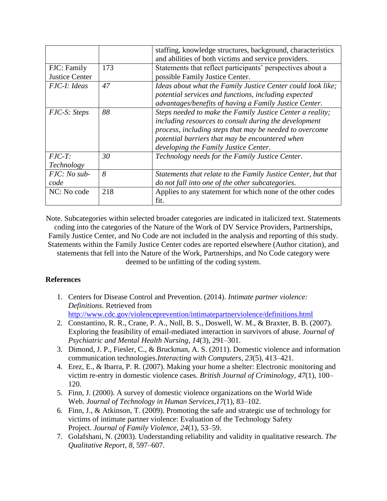|                       |     | staffing, knowledge structures, background, characteristics   |
|-----------------------|-----|---------------------------------------------------------------|
|                       |     | and abilities of both victims and service providers.          |
| FJC: Family           | 173 | Statements that reflect participants' perspectives about a    |
| <b>Justice Center</b> |     | possible Family Justice Center.                               |
| FJC-I: Ideas          | 47  | Ideas about what the Family Justice Center could look like;   |
|                       |     | potential services and functions, including expected          |
|                       |     | advantages/benefits of having a Family Justice Center.        |
| <i>FJC-S: Steps</i>   | 88  | Steps needed to make the Family Justice Center a reality;     |
|                       |     | including resources to consult during the development         |
|                       |     | process, including steps that may be needed to overcome       |
|                       |     | potential barriers that may be encountered when               |
|                       |     | developing the Family Justice Center.                         |
| $FJC-T$ :             | 30  | Technology needs for the Family Justice Center.               |
| Technology            |     |                                                               |
| $FJC: No sub-$        | 8   | Statements that relate to the Family Justice Center, but that |
| code                  |     | do not fall into one of the other subcategories.              |
| NC: No code           | 218 | Applies to any statement for which none of the other codes    |
|                       |     | fit.                                                          |

Note. Subcategories within selected broader categories are indicated in italicized text. Statements coding into the categories of the Nature of the Work of DV Service Providers, Partnerships, Family Justice Center, and No Code are not included in the analysis and reporting of this study. Statements within the Family Justice Center codes are reported elsewhere (Author citation), and statements that fell into the Nature of the Work, Partnerships, and No Code category were deemed to be unfitting of the coding system.

## **References**

- 1. Centers for Disease Control and Prevention. (2014). *Intimate partner violence: Definitions*. Retrieved from <http://www.cdc.gov/violenceprevention/intimatepartnerviolence/definitions.html>
- 2. Constantino, R. R., Crane, P. A., Noll, B. S., Doswell, W. M., & Braxter, B. B. (2007). Exploring the feasibility of email-mediated interaction in survivors of abuse. *Journal of Psychiatric and Mental Health Nursing*, *14*(3), 291–301.
- 3. Dimond, J. P., Fiesler, C., & Bruckman, A. S. (2011). Domestic violence and information communication technologies.*Interacting with Computers*, *23*(5), 413–421.
- 4. Erez, E., & Ibarra, P. R. (2007). Making your home a shelter: Electronic monitoring and victim re-entry in domestic violence cases. *British Journal of Criminology*, *47*(1), 100– 120.
- 5. Finn, J. (2000). A survey of domestic violence organizations on the World Wide Web. *Journal of Technology in Human Services*,*17*(1), 83–102.
- 6. Finn, J., & Atkinson, T. (2009). Promoting the safe and strategic use of technology for victims of intimate partner violence: Evaluation of the Technology Safety Project. *Journal of Family Violence*, *24*(1), 53–59.
- 7. Golafshani, N. (2003). Understanding reliability and validity in qualitative research. *The Qualitative Report*, *8*, 597–607.